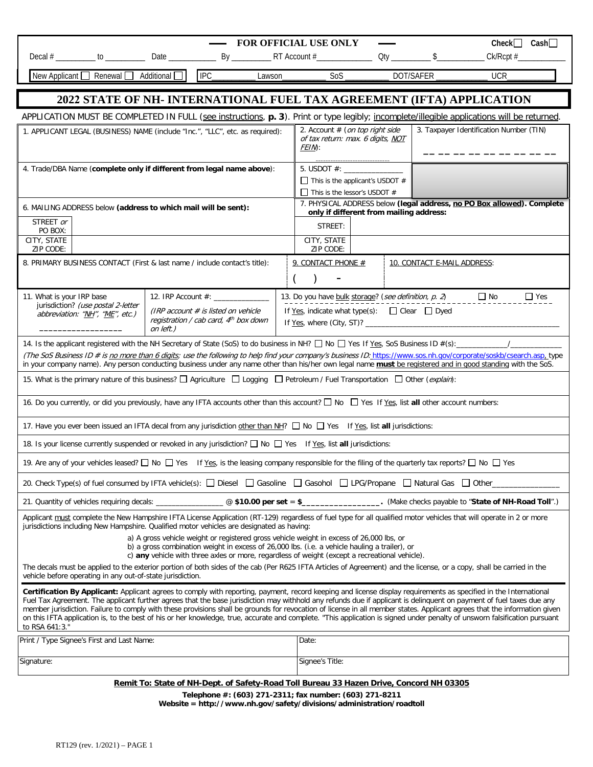| FOR OFFICIAL USE ONLY<br>$Check$ $\Box$ Cash                                                                                                                                                                                                                                                                                                                                                                                                                                                                                                                                                                                                                                                                           |                                                                                                                                  |                                                                                                                   |                             |  |                                                                                                                                            |  |              |  |  |  |
|------------------------------------------------------------------------------------------------------------------------------------------------------------------------------------------------------------------------------------------------------------------------------------------------------------------------------------------------------------------------------------------------------------------------------------------------------------------------------------------------------------------------------------------------------------------------------------------------------------------------------------------------------------------------------------------------------------------------|----------------------------------------------------------------------------------------------------------------------------------|-------------------------------------------------------------------------------------------------------------------|-----------------------------|--|--------------------------------------------------------------------------------------------------------------------------------------------|--|--------------|--|--|--|
|                                                                                                                                                                                                                                                                                                                                                                                                                                                                                                                                                                                                                                                                                                                        |                                                                                                                                  |                                                                                                                   |                             |  |                                                                                                                                            |  | $CK/RCpt \#$ |  |  |  |
|                                                                                                                                                                                                                                                                                                                                                                                                                                                                                                                                                                                                                                                                                                                        |                                                                                                                                  |                                                                                                                   |                             |  |                                                                                                                                            |  |              |  |  |  |
| 2022 STATE OF NH- INTERNATIONAL FUEL TAX AGREEMENT (IFTA) APPLICATION                                                                                                                                                                                                                                                                                                                                                                                                                                                                                                                                                                                                                                                  |                                                                                                                                  |                                                                                                                   |                             |  |                                                                                                                                            |  |              |  |  |  |
| APPLICATION MUST BE COMPLETED IN FULL (see instructions, p. 3). Print or type legibly; incomplete/illegible applications will be returned.                                                                                                                                                                                                                                                                                                                                                                                                                                                                                                                                                                             |                                                                                                                                  |                                                                                                                   |                             |  |                                                                                                                                            |  |              |  |  |  |
| 1. APPLICANT LEGAL (BUSINESS) NAME (include "Inc.", "LLC", etc. as required):                                                                                                                                                                                                                                                                                                                                                                                                                                                                                                                                                                                                                                          | 3. Taxpayer Identification Number (TIN)<br>2. Account # (on top right side<br>of tax return: max. 6 digits, NOT<br>FEIN:         |                                                                                                                   |                             |  |                                                                                                                                            |  |              |  |  |  |
| 4. Trade/DBA Name (complete only if different from legal name above):                                                                                                                                                                                                                                                                                                                                                                                                                                                                                                                                                                                                                                                  |                                                                                                                                  | $\Box$ This is the applicant's USDOT #<br>$\Box$ This is the lessor's USDOT #                                     |                             |  |                                                                                                                                            |  |              |  |  |  |
| 6. MAILING ADDRESS below (address to which mail will be sent):                                                                                                                                                                                                                                                                                                                                                                                                                                                                                                                                                                                                                                                         |                                                                                                                                  | 7. PHYSICAL ADDRESS below (legal address, no PO Box allowed). Complete<br>only if different from mailing address: |                             |  |                                                                                                                                            |  |              |  |  |  |
| STREET or<br>PO BOX:                                                                                                                                                                                                                                                                                                                                                                                                                                                                                                                                                                                                                                                                                                   | STREET:                                                                                                                          |                                                                                                                   |                             |  |                                                                                                                                            |  |              |  |  |  |
| CITY, STATE<br>ZIP CODE:                                                                                                                                                                                                                                                                                                                                                                                                                                                                                                                                                                                                                                                                                               |                                                                                                                                  | CITY, STATE<br>ZIP CODE:                                                                                          |                             |  |                                                                                                                                            |  |              |  |  |  |
| 8. PRIMARY BUSINESS CONTACT (First & last name / include contact's title):                                                                                                                                                                                                                                                                                                                                                                                                                                                                                                                                                                                                                                             | 9. CONTACT PHONE #                                                                                                               |                                                                                                                   | 10. CONTACT E-MAIL ADDRESS: |  |                                                                                                                                            |  |              |  |  |  |
|                                                                                                                                                                                                                                                                                                                                                                                                                                                                                                                                                                                                                                                                                                                        |                                                                                                                                  |                                                                                                                   |                             |  |                                                                                                                                            |  |              |  |  |  |
| 11. What is your IRP base<br>jurisdiction? (use postal 2-letter<br>abbreviation: "NH", "ME", etc.)                                                                                                                                                                                                                                                                                                                                                                                                                                                                                                                                                                                                                     | 12. IRP Account #: ______________<br>(IRP account $#$ is listed on vehicle<br>registration / cab card, 4th box down<br>on left.) |                                                                                                                   |                             |  | 13. Do you have bulk storage? (see definition, $p. 2$ ) $\Box$ No<br>$\Box$ Yes<br>If Yes, indicate what type(s): $\Box$ Clear $\Box$ Dyed |  |              |  |  |  |
| 14. Is the applicant registered with the NH Secretary of State (SoS) to do business in NH? $\Box$ No $\Box$ Yes If Yes, SoS Business ID #(s):<br>(The SoS Business ID # is no more than 6 digits; use the following to help find your company's business ID: https://www.sos.nh.gov/corporate/soskb/csearch.asp.type<br>in your company name). Any person conducting business under any name other than his/her own legal name <b>must</b> be registered and in good standing with the SoS.                                                                                                                                                                                                                            |                                                                                                                                  |                                                                                                                   |                             |  |                                                                                                                                            |  |              |  |  |  |
| 15. What is the primary nature of this business? I Agriculture I Logging I Petroleum / Fuel Transportation I Other (explain):                                                                                                                                                                                                                                                                                                                                                                                                                                                                                                                                                                                          |                                                                                                                                  |                                                                                                                   |                             |  |                                                                                                                                            |  |              |  |  |  |
| 16. Do you currently, or did you previously, have any IFTA accounts other than this account? [ No [ Yes If Yes, list all other account numbers:                                                                                                                                                                                                                                                                                                                                                                                                                                                                                                                                                                        |                                                                                                                                  |                                                                                                                   |                             |  |                                                                                                                                            |  |              |  |  |  |
| 17. Have you ever been issued an IFTA decal from any jurisdiction other than NH? No Nes If Yes, list all jurisdictions:<br>18. Is your license currently suspended or revoked in any jurisdiction? □ No □ Yes If Yes, list all jurisdictions:                                                                                                                                                                                                                                                                                                                                                                                                                                                                          |                                                                                                                                  |                                                                                                                   |                             |  |                                                                                                                                            |  |              |  |  |  |
|                                                                                                                                                                                                                                                                                                                                                                                                                                                                                                                                                                                                                                                                                                                        |                                                                                                                                  |                                                                                                                   |                             |  |                                                                                                                                            |  |              |  |  |  |
| 19. Are any of your vehicles leased? $\Box$ No $\Box$ Yes If Yes, is the leasing company responsible for the filing of the quarterly tax reports? $\Box$ No $\Box$ Yes                                                                                                                                                                                                                                                                                                                                                                                                                                                                                                                                                 |                                                                                                                                  |                                                                                                                   |                             |  |                                                                                                                                            |  |              |  |  |  |
| 20. Check Type(s) of fuel consumed by IFTA vehicle(s): [ Diesel [ Gasoline   Gasohol [ LPG/Propane   Natural Gas   Other                                                                                                                                                                                                                                                                                                                                                                                                                                                                                                                                                                                               |                                                                                                                                  |                                                                                                                   |                             |  |                                                                                                                                            |  |              |  |  |  |
| 21. Quantity of vehicles requiring decals: ____________________@ \$10.00 per set = \$__________________. (Make checks payable to "State of NH-Road Toll".)<br>Applicant must complete the New Hampshire IFTA License Application (RT-129) regardless of fuel type for all qualified motor vehicles that will operate in 2 or more                                                                                                                                                                                                                                                                                                                                                                                      |                                                                                                                                  |                                                                                                                   |                             |  |                                                                                                                                            |  |              |  |  |  |
| jurisdictions including New Hampshire. Qualified motor vehicles are designated as having:<br>a) A gross vehicle weight or registered gross vehicle weight in excess of 26,000 lbs, or<br>b) a gross combination weight in excess of 26,000 lbs. (i.e. a vehicle hauling a trailer), or                                                                                                                                                                                                                                                                                                                                                                                                                                 |                                                                                                                                  |                                                                                                                   |                             |  |                                                                                                                                            |  |              |  |  |  |
| c) any vehicle with three axles or more, regardless of weight (except a recreational vehicle).<br>The decals must be applied to the exterior portion of both sides of the cab (Per R625 IFTA Articles of Agreement) and the license, or a copy, shall be carried in the<br>vehicle before operating in any out-of-state jurisdiction.                                                                                                                                                                                                                                                                                                                                                                                  |                                                                                                                                  |                                                                                                                   |                             |  |                                                                                                                                            |  |              |  |  |  |
| Certification By Applicant: Applicant agrees to comply with reporting, payment, record keeping and license display requirements as specified in the International<br>Fuel Tax Agreement. The applicant further agrees that the base jurisdiction may withhold any refunds due if applicant is delinguent on payment of fuel taxes due any<br>member jurisdiction. Failure to comply with these provisions shall be grounds for revocation of license in all member states. Applicant agrees that the information given<br>on this IFTA application is, to the best of his or her knowledge, true, accurate and complete. "This application is signed under penalty of unsworn falsification pursuant<br>to RSA 641:3." |                                                                                                                                  |                                                                                                                   |                             |  |                                                                                                                                            |  |              |  |  |  |
| Print / Type Signee's First and Last Name:                                                                                                                                                                                                                                                                                                                                                                                                                                                                                                                                                                                                                                                                             |                                                                                                                                  |                                                                                                                   | Date:                       |  |                                                                                                                                            |  |              |  |  |  |
| Signature:                                                                                                                                                                                                                                                                                                                                                                                                                                                                                                                                                                                                                                                                                                             |                                                                                                                                  | Signee's Title:                                                                                                   |                             |  |                                                                                                                                            |  |              |  |  |  |
|                                                                                                                                                                                                                                                                                                                                                                                                                                                                                                                                                                                                                                                                                                                        |                                                                                                                                  | Remit To: State of NH-Dept. of Safety-Road Toll Bureau 33 Hazen Drive, Concord NH 03305                           |                             |  |                                                                                                                                            |  |              |  |  |  |
| Telephone #: (603) 271-2311; fax number: (603) 271-8211<br>Website = http://www.nh.gov/safety/divisions/administration/roadtoll                                                                                                                                                                                                                                                                                                                                                                                                                                                                                                                                                                                        |                                                                                                                                  |                                                                                                                   |                             |  |                                                                                                                                            |  |              |  |  |  |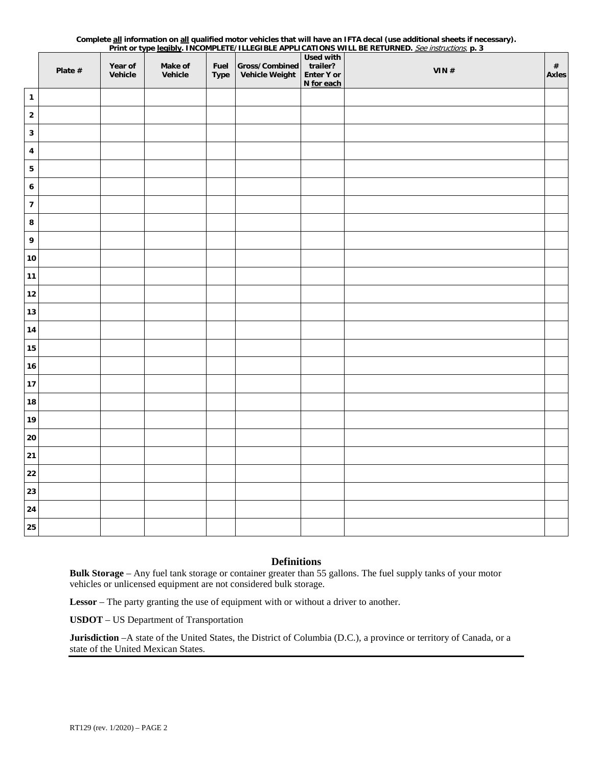|                  |         |                    |                    |                     |                                         |                                                          | Print or type legibly. INCOMPLETE/ILLEGIBLE APPLICATIONS WILL BE RETURNED. See instructions, p. 3 |                      |
|------------------|---------|--------------------|--------------------|---------------------|-----------------------------------------|----------------------------------------------------------|---------------------------------------------------------------------------------------------------|----------------------|
|                  | Plate # | Year of<br>Vehicle | Make of<br>Vehicle | Fuel<br><b>Type</b> | Gross/Combined<br><b>Vehicle Weight</b> | <b>Used with</b><br>trailer?<br>Enter Y or<br>N for each | VIN#                                                                                              | $\#$<br><b>Axles</b> |
| $\mathbf{1}$     |         |                    |                    |                     |                                         |                                                          |                                                                                                   |                      |
| $\mathbf 2$      |         |                    |                    |                     |                                         |                                                          |                                                                                                   |                      |
| $\mathbf 3$      |         |                    |                    |                     |                                         |                                                          |                                                                                                   |                      |
| 4                |         |                    |                    |                     |                                         |                                                          |                                                                                                   |                      |
| 5                |         |                    |                    |                     |                                         |                                                          |                                                                                                   |                      |
| $\boldsymbol{6}$ |         |                    |                    |                     |                                         |                                                          |                                                                                                   |                      |
| $\pmb{7}$        |         |                    |                    |                     |                                         |                                                          |                                                                                                   |                      |
| 8                |         |                    |                    |                     |                                         |                                                          |                                                                                                   |                      |
| 9                |         |                    |                    |                     |                                         |                                                          |                                                                                                   |                      |
| ${\bf 10}$       |         |                    |                    |                     |                                         |                                                          |                                                                                                   |                      |
| $11$             |         |                    |                    |                     |                                         |                                                          |                                                                                                   |                      |
| $12$             |         |                    |                    |                     |                                         |                                                          |                                                                                                   |                      |
| 13               |         |                    |                    |                     |                                         |                                                          |                                                                                                   |                      |
| 14               |         |                    |                    |                     |                                         |                                                          |                                                                                                   |                      |
| 15               |         |                    |                    |                     |                                         |                                                          |                                                                                                   |                      |
| $16\,$           |         |                    |                    |                     |                                         |                                                          |                                                                                                   |                      |
| $17$             |         |                    |                    |                     |                                         |                                                          |                                                                                                   |                      |
| ${\bf 18}$       |         |                    |                    |                     |                                         |                                                          |                                                                                                   |                      |
| 19               |         |                    |                    |                     |                                         |                                                          |                                                                                                   |                      |
| 20               |         |                    |                    |                     |                                         |                                                          |                                                                                                   |                      |
| $21$             |         |                    |                    |                     |                                         |                                                          |                                                                                                   |                      |
| 22               |         |                    |                    |                     |                                         |                                                          |                                                                                                   |                      |
| 23               |         |                    |                    |                     |                                         |                                                          |                                                                                                   |                      |
| 24               |         |                    |                    |                     |                                         |                                                          |                                                                                                   |                      |
| 25               |         |                    |                    |                     |                                         |                                                          |                                                                                                   |                      |
|                  |         |                    |                    |                     |                                         |                                                          |                                                                                                   |                      |

# **Complete all information on all qualified motor vehicles that will have an IFTA decal (use additional sheets if necessary).**

### **Definitions**

**Bulk Storage** – Any fuel tank storage or container greater than 55 gallons. The fuel supply tanks of your motor vehicles or unlicensed equipment are not considered bulk storage.

**Lessor** – The party granting the use of equipment with or without a driver to another.

**USDOT** – US Department of Transportation

**Jurisdiction** –A state of the United States, the District of Columbia (D.C.), a province or territory of Canada, or a state of the United Mexican States.